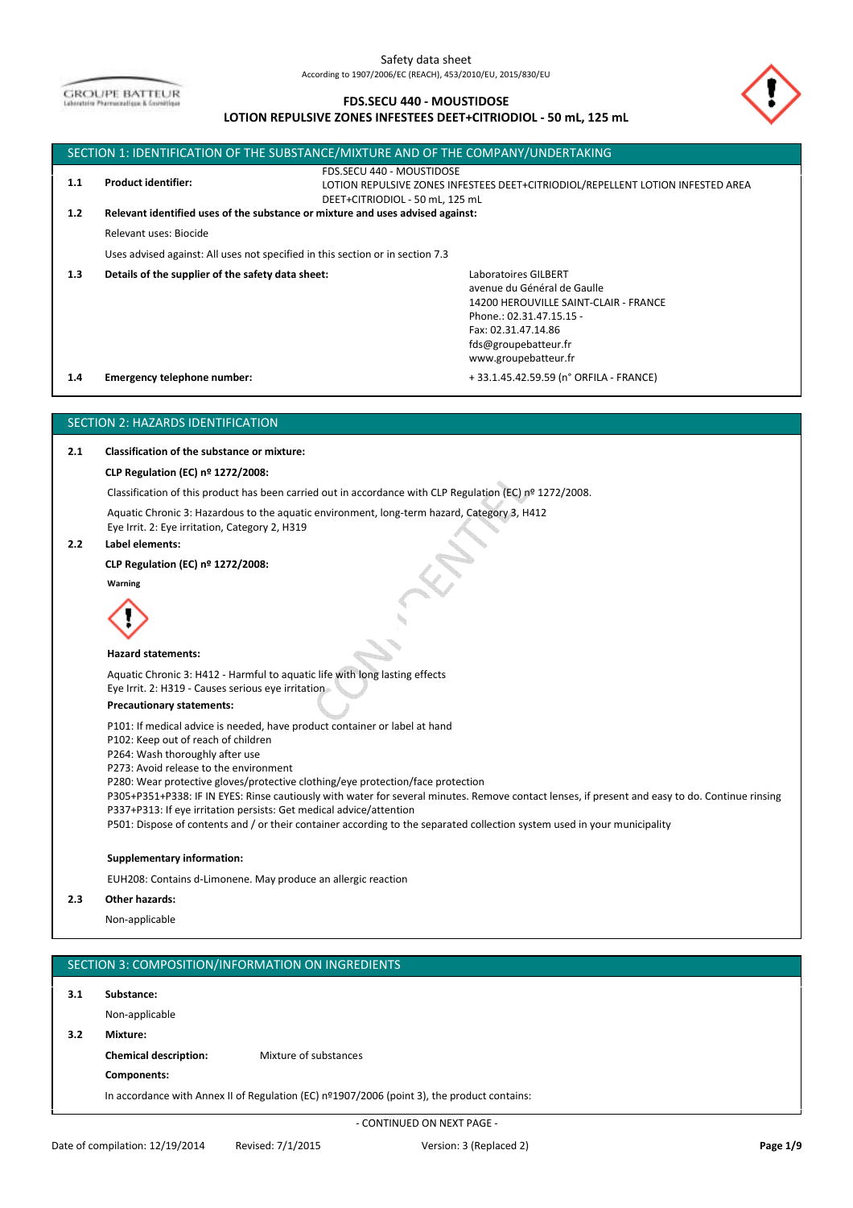**GROUPE BATTEUR** 

# **FDS.SECU 440 - MOUSTIDOSE**

## **LOTION REPULSIVE ZONES INFESTEES DEET+CITRIODIOL - 50 mL, 125 mL**



| 3.1 | Substance:                   |                                                                                             |
|-----|------------------------------|---------------------------------------------------------------------------------------------|
|     | Non-applicable               |                                                                                             |
| 3.2 | Mixture:                     |                                                                                             |
|     | <b>Chemical description:</b> | Mixture of substances                                                                       |
|     | Components:                  |                                                                                             |
|     |                              | In accordance with Annex II of Regulation (EC) nº1907/2006 (point 3), the product contains: |
|     |                              |                                                                                             |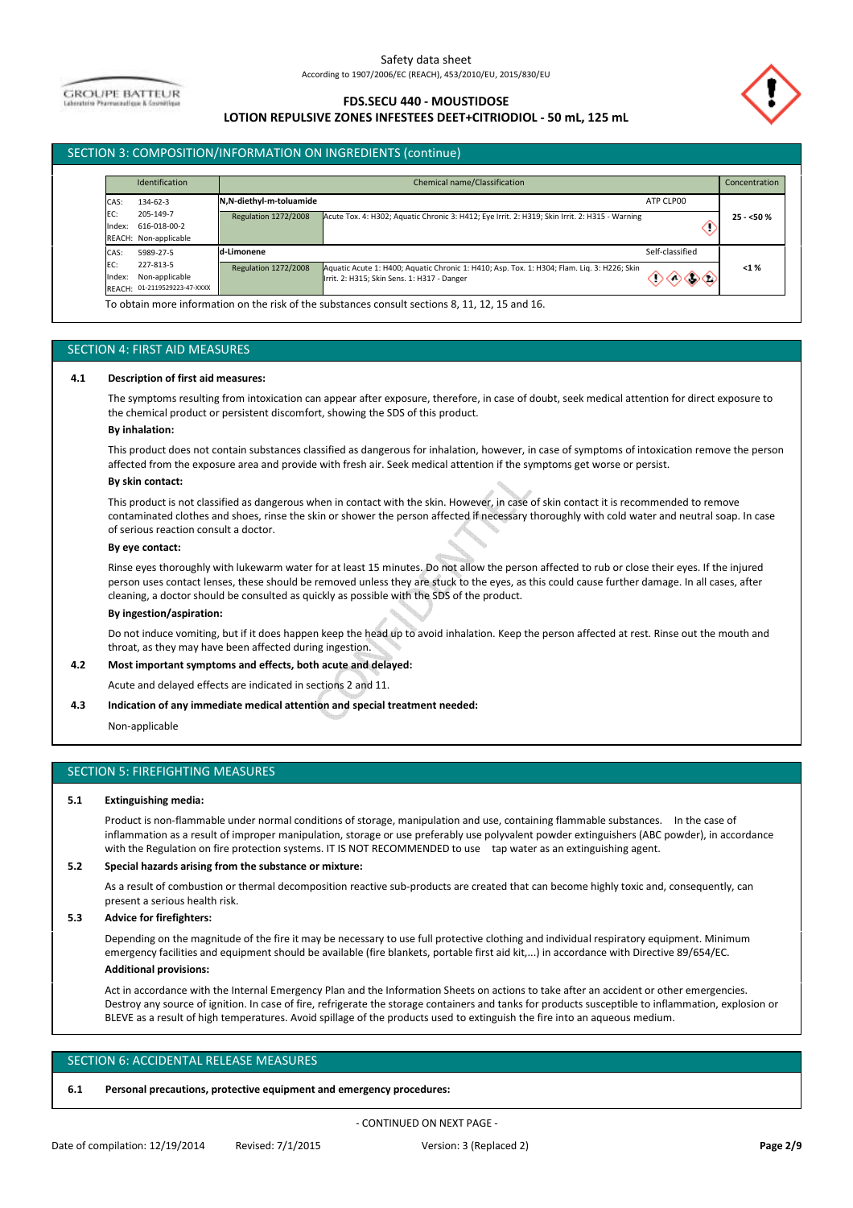**GROUPE BATTEUR** 

# **FDS.SECU 440 - MOUSTIDOSE LOTION REPULSIVE ZONES INFESTEES DEET+CITRIODIOL - 50 mL, 125 mL**



# SECTION 3: COMPOSITION/INFORMATION ON INGREDIENTS (continue)

|               | Identification                                              |                             | Chemical name/Classification                                                                                                               |                 | Concentration |
|---------------|-------------------------------------------------------------|-----------------------------|--------------------------------------------------------------------------------------------------------------------------------------------|-----------------|---------------|
| CAS:          | 134-62-3                                                    | N,N-diethyl-m-toluamide     |                                                                                                                                            | ATP CLP00       |               |
| EC:<br>Index: | 205-149-7<br>616-018-00-2<br>REACH: Non-applicable          | <b>Regulation 1272/2008</b> | Acute Tox. 4: H302; Aquatic Chronic 3: H412; Eye Irrit. 2: H319; Skin Irrit. 2: H315 - Warning                                             | л.              | $25 - 50%$    |
| CAS:          | 5989-27-5                                                   | d-Limonene                  |                                                                                                                                            | Self-classified |               |
| EC:<br>Index: | 227-813-5<br>Non-applicable<br>REACH: 01-2119529223-47-XXXX | <b>Regulation 1272/2008</b> | Aquatic Acute 1: H400; Aquatic Chronic 1: H410; Asp. Tox. 1: H304; Flam. Liq. 3: H226; Skin<br>Irrit. 2: H315; Skin Sens. 1: H317 - Danger | രക              | < 1%          |

#### SECTION 4: FIRST AID MEASURES

#### **4.1 Description of first aid measures:**

The symptoms resulting from intoxication can appear after exposure, therefore, in case of doubt, seek medical attention for direct exposure to the chemical product or persistent discomfort, showing the SDS of this product.

#### **By inhalation:**

This product does not contain substances classified as dangerous for inhalation, however, in case of symptoms of intoxication remove the person affected from the exposure area and provide with fresh air. Seek medical attention if the symptoms get worse or persist.

#### **By skin contact:**

This product is not classified as dangerous when in contact with the skin. However, in case of skin contact it is recommended to remove contaminated clothes and shoes, rinse the skin or shower the person affected if necessary thoroughly with cold water and neutral soap. In case of serious reaction consult a doctor.

#### **By eye contact:**

Rinse eyes thoroughly with lukewarm water for at least 15 minutes. Do not allow the person affected to rub or close their eyes. If the injured person uses contact lenses, these should be removed unless they are stuck to the eyes, as this could cause further damage. In all cases, after cleaning, a doctor should be consulted as quickly as possible with the SDS of the product.

#### **By ingestion/aspiration:**

Do not induce vomiting, but if it does happen keep the head up to avoid inhalation. Keep the person affected at rest. Rinse out the mouth and throat, as they may have been affected during ingestion.

#### **4.2 Most important symptoms and effects, both acute and delayed:**

Acute and delayed effects are indicated in sections 2 and 11.

#### **4.3 Indication of any immediate medical attention and special treatment needed:**

Non-applicable

#### SECTION 5: FIREFIGHTING MEASURES

#### **5.1 Extinguishing media:**

Product is non-flammable under normal conditions of storage, manipulation and use, containing flammable substances. In the case of inflammation as a result of improper manipulation, storage or use preferably use polyvalent powder extinguishers (ABC powder), in accordance with the Regulation on fire protection systems. IT IS NOT RECOMMENDED to use tap water as an extinguishing agent.

#### **5.2 Special hazards arising from the substance or mixture:**

As a result of combustion or thermal decomposition reactive sub-products are created that can become highly toxic and, consequently, can present a serious health risk.

#### **5.3 Advice for firefighters:**

Depending on the magnitude of the fire it may be necessary to use full protective clothing and individual respiratory equipment. Minimum emergency facilities and equipment should be available (fire blankets, portable first aid kit,...) in accordance with Directive 89/654/EC.

# **Additional provisions:**

Act in accordance with the Internal Emergency Plan and the Information Sheets on actions to take after an accident or other emergencies. Destroy any source of ignition. In case of fire, refrigerate the storage containers and tanks for products susceptible to inflammation, explosion or BLEVE as a result of high temperatures. Avoid spillage of the products used to extinguish the fire into an aqueous medium.

## SECTION 6: ACCIDENTAL RELEASE MEASURES

#### **6.1 Personal precautions, protective equipment and emergency procedures:**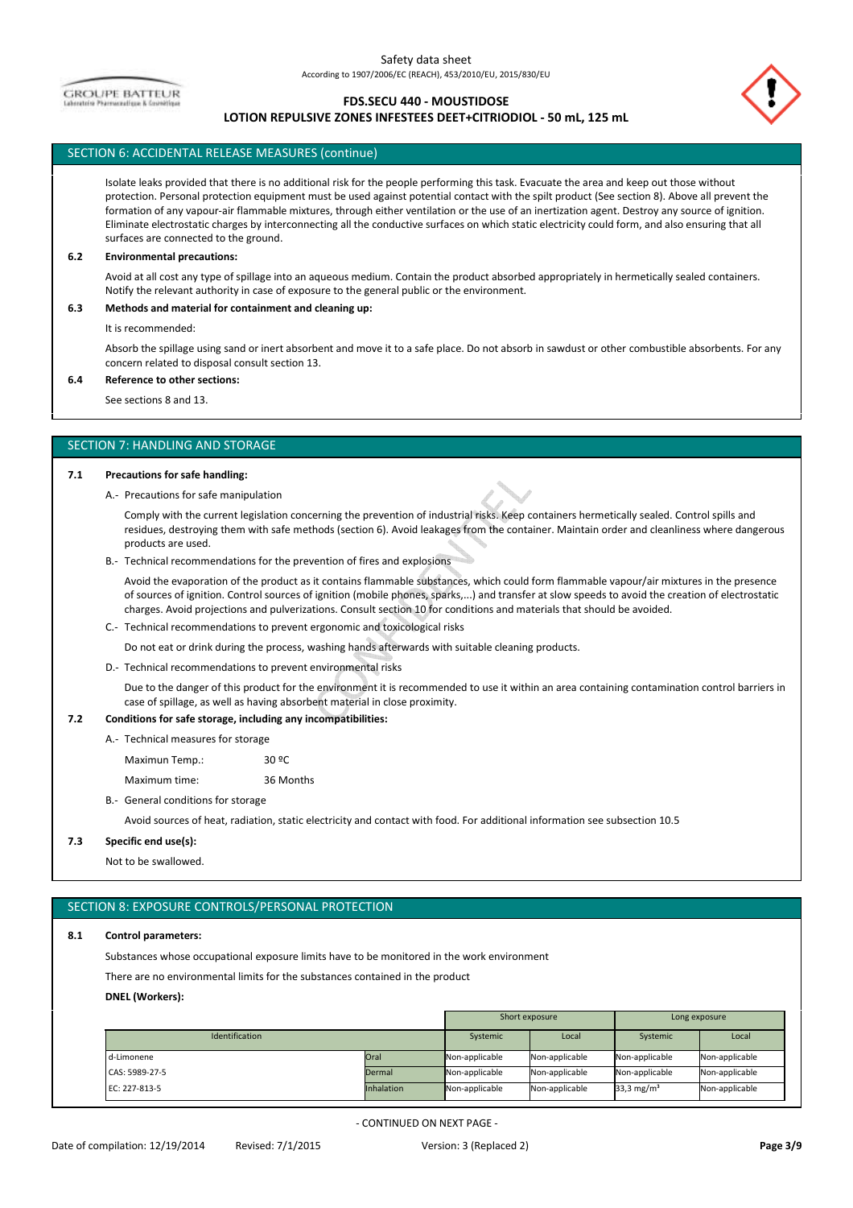**GROUPE BATTEUR** 

# **FDS.SECU 440 - MOUSTIDOSE**

# **LOTION REPULSIVE ZONES INFESTEES DEET+CITRIODIOL - 50 mL, 125 mL**

# SECTION 6: ACCIDENTAL RELEASE MEASURES (continue)

Isolate leaks provided that there is no additional risk for the people performing this task. Evacuate the area and keep out those without protection. Personal protection equipment must be used against potential contact with the spilt product (See section 8). Above all prevent the formation of any vapour-air flammable mixtures, through either ventilation or the use of an inertization agent. Destroy any source of ignition. Eliminate electrostatic charges by interconnecting all the conductive surfaces on which static electricity could form, and also ensuring that all surfaces are connected to the ground.

#### **6.2 Environmental precautions:**

Avoid at all cost any type of spillage into an aqueous medium. Contain the product absorbed appropriately in hermetically sealed containers. Notify the relevant authority in case of exposure to the general public or the environment.

#### **6.3 Methods and material for containment and cleaning up:**

It is recommended:

Absorb the spillage using sand or inert absorbent and move it to a safe place. Do not absorb in sawdust or other combustible absorbents. For any concern related to disposal consult section 13.

#### **6.4 Reference to other sections:**

See sections 8 and 13.

#### SECTION 7: HANDLING AND STORAGE

#### **7.1 Precautions for safe handling:**

A.- Precautions for safe manipulation

Comply with the current legislation concerning the prevention of industrial risks. Keep containers hermetically sealed. Control spills and residues, destroying them with safe methods (section 6). Avoid leakages from the container. Maintain order and cleanliness where dangerous products are used.

B.- Technical recommendations for the prevention of fires and explosions

Avoid the evaporation of the product as it contains flammable substances, which could form flammable vapour/air mixtures in the presence of sources of ignition. Control sources of ignition (mobile phones, sparks,...) and transfer at slow speeds to avoid the creation of electrostatic charges. Avoid projections and pulverizations. Consult section 10 for conditions and materials that should be avoided.

C.- Technical recommendations to prevent ergonomic and toxicological risks

Do not eat or drink during the process, washing hands afterwards with suitable cleaning products.

D.- Technical recommendations to prevent environmental risks

Due to the danger of this product for the environment it is recommended to use it within an area containing contamination control barriers in case of spillage, as well as having absorbent material in close proximity.

#### **7.2 Conditions for safe storage, including any incompatibilities:**

A.- Technical measures for storage

Maximun Temp.: 30 ºC

Maximum time: 36 Months

B.- General conditions for storage

Avoid sources of heat, radiation, static electricity and contact with food. For additional information see subsection 10.5

#### **7.3 Specific end use(s):**

Not to be swallowed.

# SECTION 8: EXPOSURE CONTROLS/PERSONAL PROTECTION

## **8.1 Control parameters:**

Substances whose occupational exposure limits have to be monitored in the work environment

There are no environmental limits for the substances contained in the product

# **DNEL (Workers):**

|                       |                   | Short exposure |                | Long exposure          |                |
|-----------------------|-------------------|----------------|----------------|------------------------|----------------|
| <b>Identification</b> |                   | Systemic       | Local          | Systemic               | Local          |
| d-Limonene            | Oral              | Non-applicable | Non-applicable | Non-applicable         | Non-applicable |
| CAS: 5989-27-5        | Dermal            | Non-applicable | Non-applicable | Non-applicable         | Non-applicable |
| EC: 227-813-5         | <b>Inhalation</b> | Non-applicable | Non-applicable | 33,3 mg/m <sup>3</sup> | Non-applicable |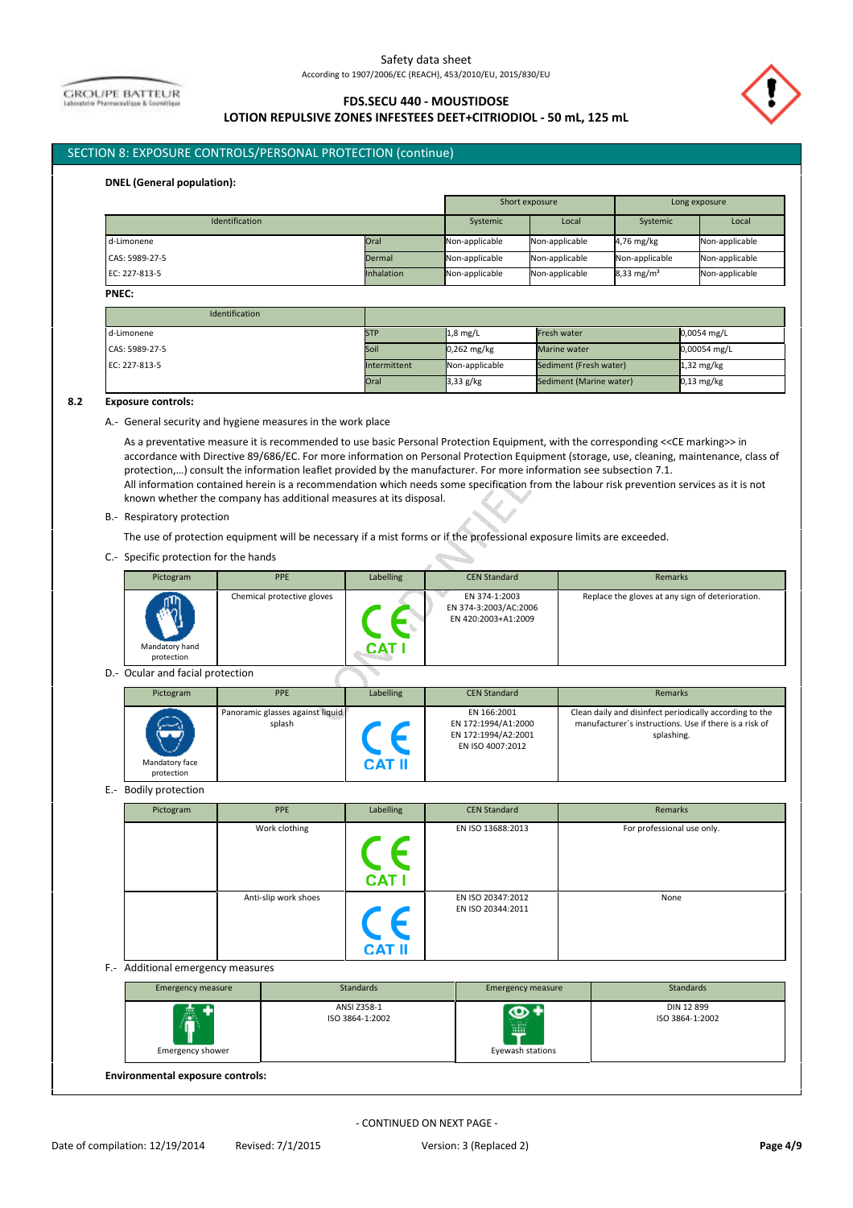**GROUPE BATTEUR** 

# **FDS.SECU 440 - MOUSTIDOSE LOTION REPULSIVE ZONES INFESTEES DEET+CITRIODIOL - 50 mL, 125 mL**



# SECTION 8: EXPOSURE CONTROLS/PERSONAL PROTECTION (continue)

#### **DNEL (General population):**

|                |                   | Short exposure |                | Long exposure          |                |
|----------------|-------------------|----------------|----------------|------------------------|----------------|
| Identification |                   | Systemic       | Local          | Systemic               | Local          |
| d-Limonene     | Oral              | Non-applicable | Non-applicable | 4,76 mg/kg             | Non-applicable |
| CAS: 5989-27-5 | Dermal            | Non-applicable | Non-applicable | Non-applicable         | Non-applicable |
| EC: 227-813-5  | <b>Inhalation</b> | Non-applicable | Non-applicable | 8,33 mg/m <sup>3</sup> | Non-applicable |

#### **PNEC:**

| Identification |                     |                |                         |                      |
|----------------|---------------------|----------------|-------------------------|----------------------|
| d-Limonene     | <b>STP</b>          | $1,8$ mg/L     | Fresh water             | $0,0054$ mg/L        |
| CAS: 5989-27-5 | Soil                | $0,262$ mg/kg  | Marine water            | 0,00054 mg/L         |
| EC: 227-813-5  | <b>Intermittent</b> | Non-applicable | Sediment (Fresh water)  | $1,32$ mg/kg         |
|                | Oral                | $3,33$ g/kg    | Sediment (Marine water) | $0,13 \text{ mg/kg}$ |

#### $8.2$ **8.2 Exposure controls:**

A.- General security and hygiene measures in the work place

As a preventative measure it is recommended to use basic Personal Protection Equipment, with the corresponding <<CE marking>> in accordance with Directive 89/686/EC. For more information on Personal Protection Equipment (storage, use, cleaning, maintenance, class of protection,…) consult the information leaflet provided by the manufacturer. For more information see subsection 7.1. All information contained herein is a recommendation which needs some specification from the labour risk prevention services as it is not known whether the company has additional measures at its disposal.

B.- Respiratory protection

The use of protection equipment will be necessary if a mist forms or if the professional exposure limits are exceeded.

C.- Specific protection for the hands

| Pictogram                    | <b>PPE</b>                 | Labelling | <b>CEN Standard</b>                                           | Remarks                                          |
|------------------------------|----------------------------|-----------|---------------------------------------------------------------|--------------------------------------------------|
| Mandatory hand<br>protection | Chemical protective gloves | CAT       | EN 374-1:2003<br>EN 374-3:2003/AC:2006<br>EN 420:2003+A1:2009 | Replace the gloves at any sign of deterioration. |

 $\oplus$ 

D.- Ocular and facial protection

| Pictogram                                 | <b>PPE</b>                                 | Labelling     | <b>CEN Standard</b>                                                           | Remarks                                                                                                                         |
|-------------------------------------------|--------------------------------------------|---------------|-------------------------------------------------------------------------------|---------------------------------------------------------------------------------------------------------------------------------|
| الإستعصار<br>Mandatory face<br>protection | Panoramic glasses against liquid<br>splash | <b>CAT II</b> | EN 166:2001<br>EN 172:1994/A1:2000<br>EN 172:1994/A2:2001<br>EN ISO 4007:2012 | Clean daily and disinfect periodically according to the<br>manufacturer's instructions. Use if there is a risk of<br>splashing. |

E.- Bodily protection

| Pictogram | PPE                  | Labelling    | <b>CEN Standard</b>                    | Remarks                    |
|-----------|----------------------|--------------|----------------------------------------|----------------------------|
|           | Work clothing        | <b>CAT I</b> | EN ISO 13688:2013                      | For professional use only. |
|           | Anti-slip work shoes | <b>CAT I</b> | EN ISO 20347:2012<br>EN ISO 20344:2011 | None                       |

F.- Additional emergency measures

| <b>Emergency measure</b>                | Standards                      | <b>Emergency measure</b>     | Standards                     |
|-----------------------------------------|--------------------------------|------------------------------|-------------------------------|
| 飍<br>÷<br>Emergency shower              | ANSI Z358-1<br>ISO 3864-1:2002 | စာ<br>WW<br>Eyewash stations | DIN 12 899<br>ISO 3864-1:2002 |
| <b>Environmental exposure controls:</b> |                                |                              |                               |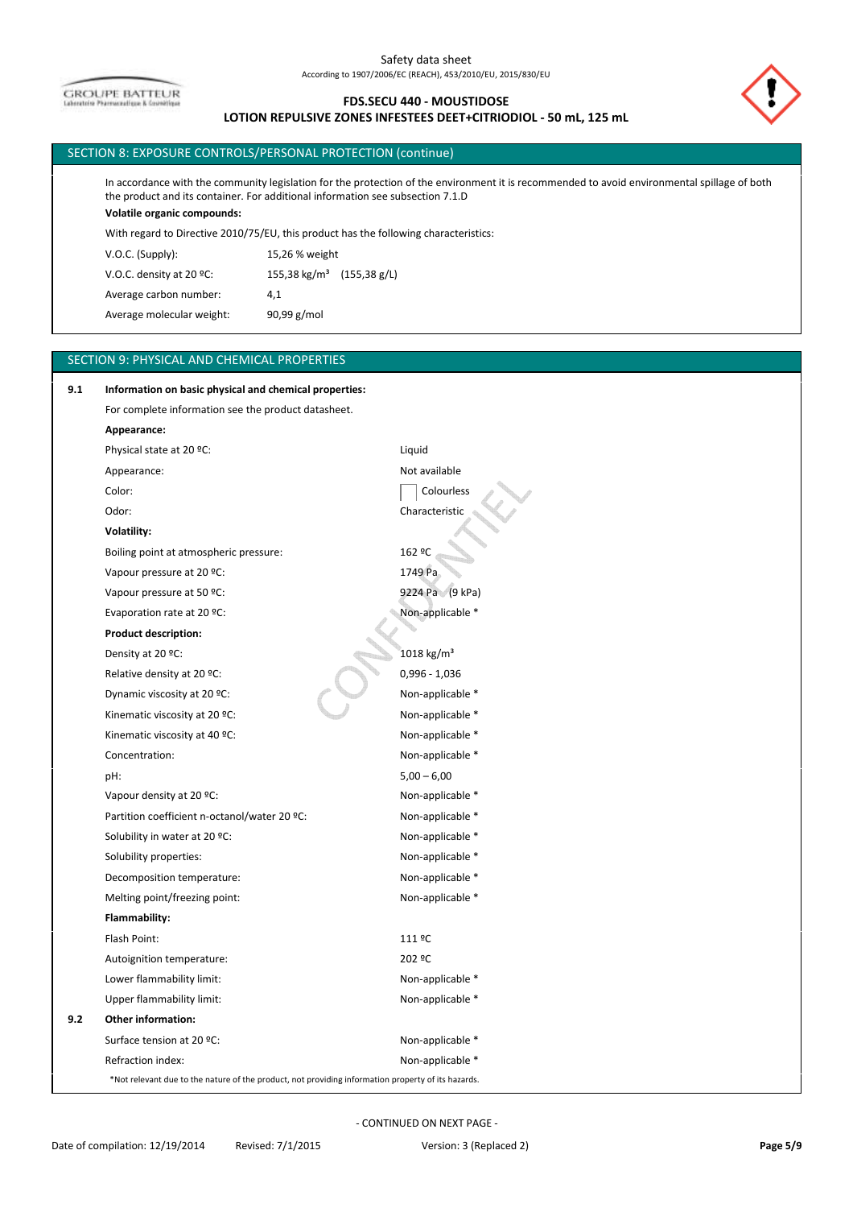**GROUPE BATTEUR** 

# **FDS.SECU 440 - MOUSTIDOSE LOTION REPULSIVE ZONES INFESTEES DEET+CITRIODIOL - 50 mL, 125 mL**

# SECTION 8: EXPOSURE CONTROLS/PERSONAL PROTECTION (continue)

In accordance with the community legislation for the protection of the environment it is recommended to avoid environmental spillage of both the product and its container. For additional information see subsection 7.1.D

# **Volatile organic compounds:**

With regard to Directive 2010/75/EU, this product has the following characteristics:

Average molecular weight: 90,99 g/mol Average carbon number: 4,1 V.O.C. density at 20 °C: 155,38 kg/m<sup>3</sup> (155,38 g/L) V.O.C. (Supply): 15,26 % weight

# SECTION 9: PHYSICAL AND CHEMICAL PROPERTIES

| 9.1 | Information on basic physical and chemical properties:                                             |                  |
|-----|----------------------------------------------------------------------------------------------------|------------------|
|     | For complete information see the product datasheet.                                                |                  |
|     | Appearance:                                                                                        |                  |
|     | Physical state at 20 °C:                                                                           | Liquid           |
|     | Appearance:                                                                                        | Not available    |
|     | Color:                                                                                             | Colourless       |
|     | Odor:                                                                                              | Characteristic   |
|     | Volatility:                                                                                        |                  |
|     | Boiling point at atmospheric pressure:                                                             | 162 ºC           |
|     | Vapour pressure at 20 °C:                                                                          | 1749 Pa          |
|     | Vapour pressure at 50 °C:                                                                          | 9224 Pa (9 kPa)  |
|     | Evaporation rate at 20 °C:                                                                         | Non-applicable * |
|     | <b>Product description:</b>                                                                        |                  |
|     | Density at 20 °C:                                                                                  | 1018 kg/ $m^3$   |
|     | Relative density at 20 °C:                                                                         | 0,996 - 1,036    |
|     | Dynamic viscosity at 20 °C:                                                                        | Non-applicable * |
|     | Kinematic viscosity at 20 °C:                                                                      | Non-applicable * |
|     | Kinematic viscosity at 40 °C:                                                                      | Non-applicable * |
|     | Concentration:                                                                                     | Non-applicable * |
|     | pH:                                                                                                | $5,00 - 6,00$    |
|     | Vapour density at 20 °C:                                                                           | Non-applicable * |
|     | Partition coefficient n-octanol/water 20 ºC:                                                       | Non-applicable * |
|     | Solubility in water at 20 °C:                                                                      | Non-applicable * |
|     | Solubility properties:                                                                             | Non-applicable * |
|     | Decomposition temperature:                                                                         | Non-applicable * |
|     | Melting point/freezing point:                                                                      | Non-applicable * |
|     | Flammability:                                                                                      |                  |
|     | Flash Point:                                                                                       | 111 ºC           |
|     | Autoignition temperature:                                                                          | 202 ºC           |
|     | Lower flammability limit:                                                                          | Non-applicable * |
|     | Upper flammability limit:                                                                          | Non-applicable * |
| 9.2 | <b>Other information:</b>                                                                          |                  |
|     | Surface tension at 20 °C:                                                                          | Non-applicable * |
|     | Refraction index:                                                                                  | Non-applicable * |
|     | *Not relevant due to the nature of the product, not providing information property of its hazards. |                  |

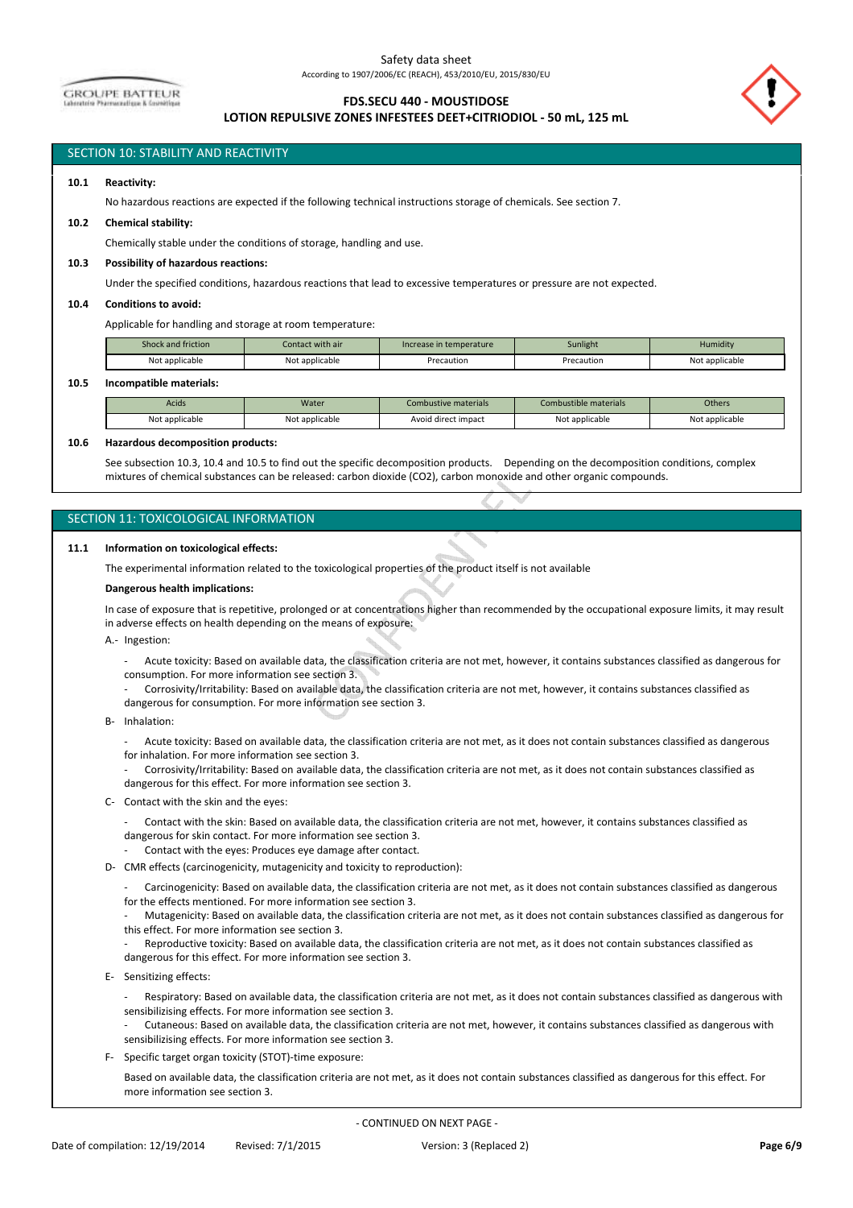**GROUPE BATTEUR** 

# **FDS.SECU 440 - MOUSTIDOSE**

# **LOTION REPULSIVE ZONES INFESTEES DEET+CITRIODIOL - 50 mL, 125 mL**



# SECTION 10: STABILITY AND REACTIVITY

### **10.1 Reactivity:**

No hazardous reactions are expected if the following technical instructions storage of chemicals. See section 7.

#### **10.2 Chemical stability:**

Chemically stable under the conditions of storage, handling and use.

### **10.3 Possibility of hazardous reactions:**

Under the specified conditions, hazardous reactions that lead to excessive temperatures or pressure are not expected.

#### **10.4 Conditions to avoid:**

Applicable for handling and storage at room temperature:

| Not applicable<br>Not applicable | Precaution | Precaution | Not applicable |
|----------------------------------|------------|------------|----------------|

#### **10.5 Incompatible materials:**

| Acids          | Water          | Combustive materials | Combustible materials | <b>Others</b>  |
|----------------|----------------|----------------------|-----------------------|----------------|
| Not applicable | Not applicable | Avoid direct impact  | Not applicable        | Not applicable |

#### **10.6 Hazardous decomposition products:**

See subsection 10.3, 10.4 and 10.5 to find out the specific decomposition products. Depending on the decomposition conditions, complex mixtures of chemical substances can be released: carbon dioxide (CO2), carbon monoxide and other organic compounds.

#### SECTION 11: TOXICOLOGICAL INFORMATION

#### **11.1 Information on toxicological effects:**

The experimental information related to the toxicological properties of the product itself is not available

#### **Dangerous health implications:**

In case of exposure that is repetitive, prolonged or at concentrations higher than recommended by the occupational exposure limits, it may result in adverse effects on health depending on the means of exposure:

A.- Ingestion:

- Acute toxicity: Based on available data, the classification criteria are not met, however, it contains substances classified as dangerous for consumption. For more information see section 3.
- Corrosivity/Irritability: Based on available data, the classification criteria are not met, however, it contains substances classified as
- dangerous for consumption. For more information see section 3.
- B- Inhalation:
	- Acute toxicity: Based on available data, the classification criteria are not met, as it does not contain substances classified as dangerous for inhalation. For more information see section 3.
	- Corrosivity/Irritability: Based on available data, the classification criteria are not met, as it does not contain substances classified as dangerous for this effect. For more information see section 3.
- C- Contact with the skin and the eyes:
	- Contact with the skin: Based on available data, the classification criteria are not met, however, it contains substances classified as dangerous for skin contact. For more information see section 3.
	- Contact with the eyes: Produces eye damage after contact.
- D- CMR effects (carcinogenicity, mutagenicity and toxicity to reproduction):
	- Carcinogenicity: Based on available data, the classification criteria are not met, as it does not contain substances classified as dangerous for the effects mentioned. For more information see section 3.
	- Mutagenicity: Based on available data, the classification criteria are not met, as it does not contain substances classified as dangerous for this effect. For more information see section 3.
	- Reproductive toxicity: Based on available data, the classification criteria are not met, as it does not contain substances classified as dangerous for this effect. For more information see section 3.
- E- Sensitizing effects:
	- Respiratory: Based on available data, the classification criteria are not met, as it does not contain substances classified as dangerous with sensibilizising effects. For more information see section 3.
	- Cutaneous: Based on available data, the classification criteria are not met, however, it contains substances classified as dangerous with sensibilizising effects. For more information see section 3.
- F- Specific target organ toxicity (STOT)-time exposure:
- Based on available data, the classification criteria are not met, as it does not contain substances classified as dangerous for this effect. For more information see section 3.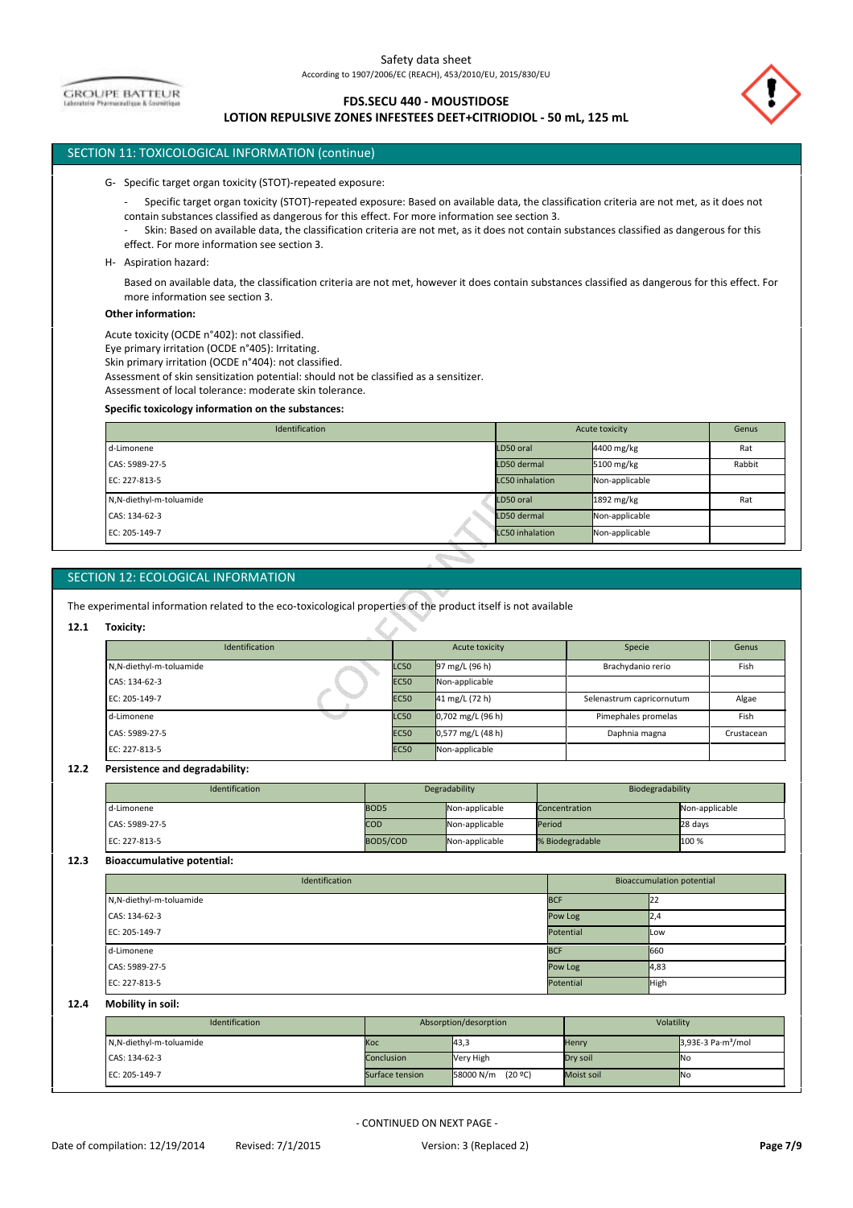**GROUPE BATTEUR** 

# **FDS.SECU 440 - MOUSTIDOSE**

# **LOTION REPULSIVE ZONES INFESTEES DEET+CITRIODIOL - 50 mL, 125 mL**

# SECTION 11: TOXICOLOGICAL INFORMATION (continue)

G- Specific target organ toxicity (STOT)-repeated exposure:

- Specific target organ toxicity (STOT)-repeated exposure: Based on available data, the classification criteria are not met, as it does not contain substances classified as dangerous for this effect. For more information see section 3.

- Skin: Based on available data, the classification criteria are not met, as it does not contain substances classified as dangerous for this effect. For more information see section 3.

H- Aspiration hazard:

Based on available data, the classification criteria are not met, however it does contain substances classified as dangerous for this effect. For more information see section 3.

#### **Other information:**

Acute toxicity (OCDE n°402): not classified.

Eye primary irritation (OCDE n°405): Irritating.

Skin primary irritation (OCDE n°404): not classified.

Assessment of skin sensitization potential: should not be classified as a sensitizer.

Assessment of local tolerance: moderate skin tolerance.

#### **Specific toxicology information on the substances:**

| Identification          |                        | Acute toxicity | Genus  |
|-------------------------|------------------------|----------------|--------|
| d-Limonene              | LD50 oral              | 4400 mg/kg     | Rat    |
| CAS: 5989-27-5          | LD50 dermal            | 5100 mg/kg     | Rabbit |
| EC: 227-813-5           | <b>LC50</b> inhalation | Non-applicable |        |
| N,N-diethyl-m-toluamide | LD50 oral              | 1892 mg/kg     | Rat    |
| CAS: 134-62-3           | LD50 dermal            | Non-applicable |        |
| EC: 205-149-7           | <b>LC50</b> inhalation | Non-applicable |        |

# SECTION 12: ECOLOGICAL INFORMATION

The experimental information related to the eco-toxicological properties of the product itself is not available

s

#### **12.1 Toxicity:**

| Identification          | Acute toxicity |                          | Specie                    | Genus      |
|-------------------------|----------------|--------------------------|---------------------------|------------|
| N,N-diethyl-m-toluamide | <b>LC50</b>    | $97 \text{ mg/L}$ (96 h) | Brachydanio rerio         | Fish       |
| CAS: 134-62-3           | <b>EC50</b>    | Non-applicable           |                           |            |
| EC: 205-149-7           | <b>EC50</b>    | $41 \text{ mg/L}$ (72 h) | Selenastrum capricornutum | Algae      |
| d-Limonene              | <b>LC50</b>    | $0,702$ mg/L (96 h)      | Pimephales promelas       | Fish       |
| CAS: 5989-27-5          | <b>EC50</b>    | $0,577$ mg/L (48 h)      | Daphnia magna             | Crustacean |
| EC: 227-813-5           | <b>EC50</b>    | Non-applicable           |                           |            |

#### $12.2$ **12.2 Persistence and degradability:**

| Identification | Degradability    |                | Biodegradability |                |
|----------------|------------------|----------------|------------------|----------------|
| d-Limonene     | BOD <sub>5</sub> | Non-applicable | Concentration    | Non-applicable |
| CAS: 5989-27-5 | <b>COD</b>       | Non-applicable | Period           | 28 days        |
| EC: 227-813-5  | BOD5/COD         | Non-applicable | % Biodegradable  | 100 %          |

#### **12.3 Bioaccumulative potential:**

| Identification          |            | <b>Bioaccumulation potential</b> |             |  |
|-------------------------|------------|----------------------------------|-------------|--|
| N,N-diethyl-m-toluamide | <b>BCF</b> |                                  | 22          |  |
| CAS: 134-62-3           | Pow Log    |                                  | IZ,4        |  |
| EC: 205-149-7           | Potential  |                                  | <b>ILow</b> |  |
| d-Limonene              | <b>BCF</b> |                                  | 660         |  |
| CAS: 5989-27-5          | Pow Log    |                                  | 4,83        |  |
| EC: 227-813-5           | Potential  |                                  | High        |  |

#### **12.4 Mobility in soil:**

| Identification          | Absorption/desorption |                      | Volatility |                                          |
|-------------------------|-----------------------|----------------------|------------|------------------------------------------|
| N,N-diethyl-m-toluamide | Koc                   | 43,3                 | Henry      | $3,93E-3$ Pa $\cdot$ m <sup>3</sup> /mol |
| CAS: 134-62-3           | Conclusion            | Very High            | Dry soil   | <b>INo</b>                               |
| EC: 205-149-7           | Surface tension       | (20 ºC)<br>58000 N/m | Moist soil | <b>No</b>                                |

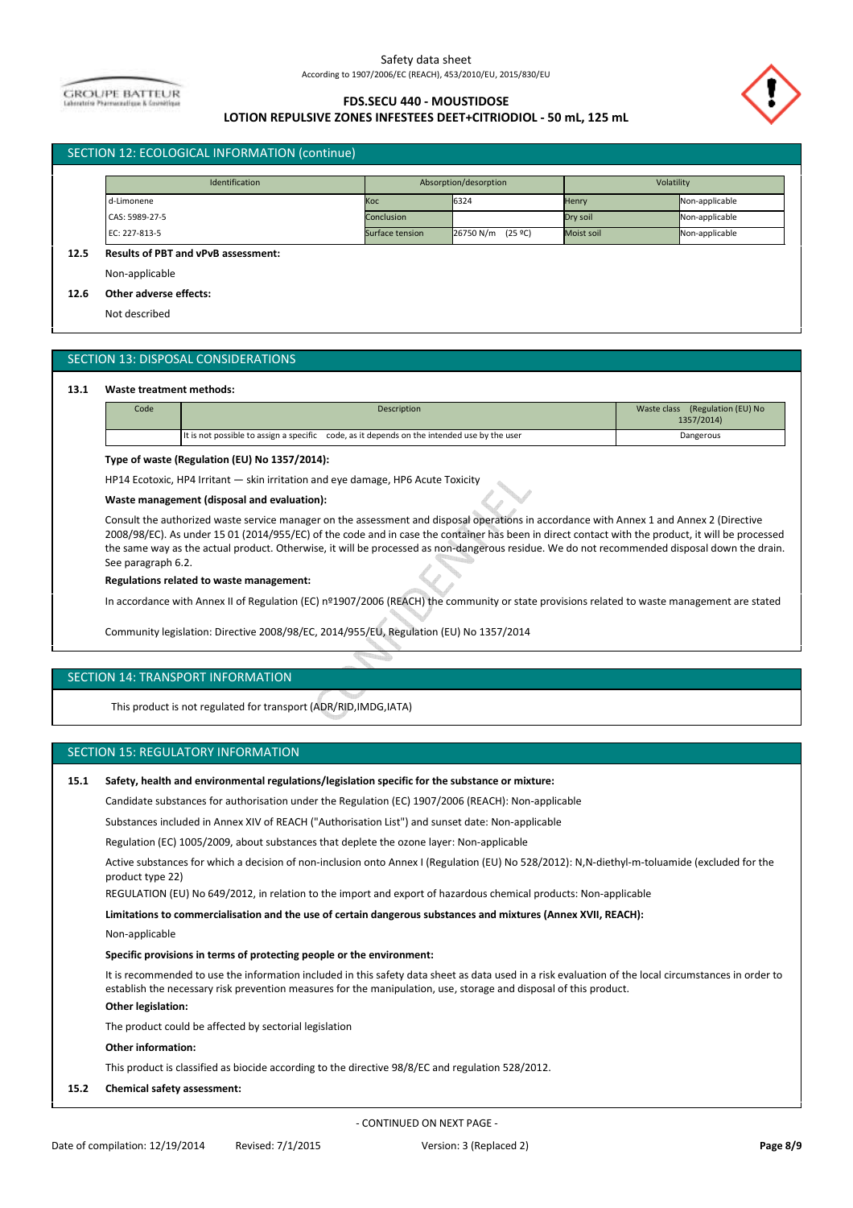**GROUPE BATTEUR** 

# **FDS.SECU 440 - MOUSTIDOSE**



# **LOTION REPULSIVE ZONES INFESTEES DEET+CITRIODIOL - 50 mL, 125 mL**

| Identification |                 | Absorption/desorption |            | Volatility     |  |
|----------------|-----------------|-----------------------|------------|----------------|--|
| d-Limonene     | Koc             | 6324                  | Henry      | Non-applicable |  |
| CAS: 5989-27-5 | Conclusion      |                       | Dry soil   | Non-applicable |  |
| EC: 227-813-5  | Surface tension | (25 ºC)<br>26750 N/m  | Moist soil | Non-applicable |  |

Non-applicable

**12.6 Other adverse effects:**

Not described

# SECTION 13: DISPOSAL CONSIDERATIONS

#### **13.1 Waste treatment methods:**

| Code | <b>Description</b>                                                                          | (Regulation (EU) No<br>Waste class<br>1357/2014) |
|------|---------------------------------------------------------------------------------------------|--------------------------------------------------|
|      | It is not possible to assign a specific code, as it depends on the intended use by the user | Dangerous                                        |

#### **Type of waste (Regulation (EU) No 1357/2014):**

HP14 Ecotoxic, HP4 Irritant — skin irritation and eye damage, HP6 Acute Toxicity

#### **Waste management (disposal and evaluation):**

Consult the authorized waste service manager on the assessment and disposal operations in accordance with Annex 1 and Annex 2 (Directive 2008/98/EC). As under 15 01 (2014/955/EC) of the code and in case the container has been in direct contact with the product, it will be processed the same way as the actual product. Otherwise, it will be processed as non-dangerous residue. We do not recommended disposal down the drain. See paragraph 6.2.

#### **Regulations related to waste management:**

In accordance with Annex II of Regulation (EC) nº1907/2006 (REACH) the community or state provisions related to waste management are stated

Community legislation: Directive 2008/98/EC, 2014/955/EU, Regulation (EU) No 1357/2014

#### SECTION 14: TRANSPORT INFORMATION

This product is not regulated for transport (ADR/RID,IMDG,IATA)

#### SECTION 15: REGULATORY INFORMATION

#### **15.1 Safety, health and environmental regulations/legislation specific for the substance or mixture:**

Candidate substances for authorisation under the Regulation (EC) 1907/2006 (REACH): Non-applicable

Substances included in Annex XIV of REACH ("Authorisation List") and sunset date: Non-applicable

Regulation (EC) 1005/2009, about substances that deplete the ozone layer: Non-applicable

Active substances for which a decision of non-inclusion onto Annex I (Regulation (EU) No 528/2012): N,N-diethyl-m-toluamide (excluded for the product type 22)

REGULATION (EU) No 649/2012, in relation to the import and export of hazardous chemical products: Non-applicable

**Limitations to commercialisation and the use of certain dangerous substances and mixtures (Annex XVII, REACH):** 

Non-applicable

### **Specific provisions in terms of protecting people or the environment:**

It is recommended to use the information included in this safety data sheet as data used in a risk evaluation of the local circumstances in order to establish the necessary risk prevention measures for the manipulation, use, storage and disposal of this product.

# **Other legislation:**

The product could be affected by sectorial legislation

# **Other information:**

This product is classified as biocide according to the directive 98/8/EC and regulation 528/2012.

**15.2 Chemical safety assessment:**